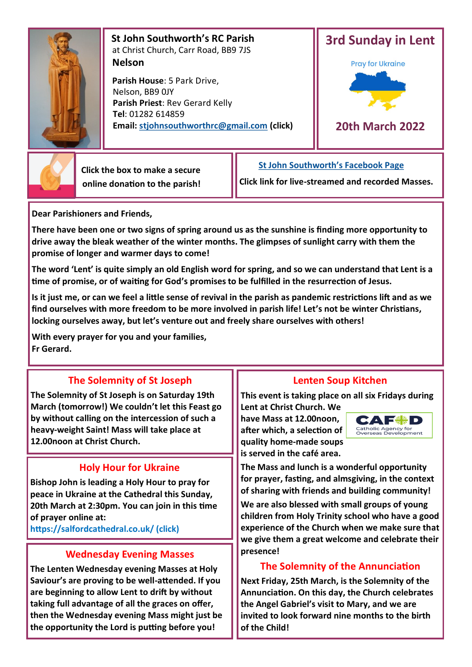

 **St John Southworth's RC Parish** at Christ Church, Carr Road, BB9 7JS **Nelson**

 **Parish House**: 5 Park Drive, Nelson, BB9 0JY **Parish Priest**: Rev Gerard Kelly **Tel**: 01282 614859 **Email: [stjohnsouthworthrc@gmail.com](mailto:stjohnsouthworth@gmail.com) (click)**





 **Click the box to make a secure online donation to the parish!** **[St John Southworth's Facebook Page](https://www.facebook.com/Parish-of-St-John-Southworth-in-Nelson-105718084323986)**

**Click link for live-streamed and recorded Masses.**

**Dear Parishioners and Friends,**

**There have been one or two signs of spring around us as the sunshine is finding more opportunity to drive away the bleak weather of the winter months. The glimpses of sunlight carry with them the promise of longer and warmer days to come!**

**The word 'Lent' is quite simply an old English word for spring, and so we can understand that Lent is a time of promise, or of waiting for God's promises to be fulfilled in the resurrection of Jesus.**

**Is it just me, or can we feel a little sense of revival in the parish as pandemic restrictions lift and as we find ourselves with more freedom to be more involved in parish life! Let's not be winter Christians, locking ourselves away, but let's venture out and freely share ourselves with others!** 

**With every prayer for you and your families, Fr Gerard.**

# **The Solemnity of St Joseph**

**The Solemnity of St Joseph is on Saturday 19th March (tomorrow!) We couldn't let this Feast go by without calling on the intercession of such a heavy-weight Saint! Mass will take place at 12.00noon at Christ Church.**

# **Holy Hour for Ukraine**

**Bishop John is leading a Holy Hour to pray for peace in Ukraine at the Cathedral this Sunday, 20th March at 2:30pm. You can join in this time of prayer online at:** 

**https://salfordcathedral.co.uk/ (click)**

## **Wednesday Evening Masses**

**The Lenten Wednesday evening Masses at Holy Saviour's are proving to be well-attended. If you are beginning to allow Lent to drift by without taking full advantage of all the graces on offer, then the Wednesday evening Mass might just be the opportunity the Lord is putting before you!** 

## **Lenten Soup Kitchen**

**This event is taking place on all six Fridays during Lent at Christ Church. We** 

**have Mass at 12.00noon, after which, a selection of quality home-made soups is served in the café area.** 



**The Mass and lunch is a wonderful opportunity for prayer, fasting, and almsgiving, in the context of sharing with friends and building community!** 

**We are also blessed with small groups of young children from Holy Trinity school who have a good experience of the Church when we make sure that we give them a great welcome and celebrate their presence!**

# **The Solemnity of the Annunciation**

**Next Friday, 25th March, is the Solemnity of the Annunciation. On this day, the Church celebrates the Angel Gabriel's visit to Mary, and we are invited to look forward nine months to the birth of the Child!**